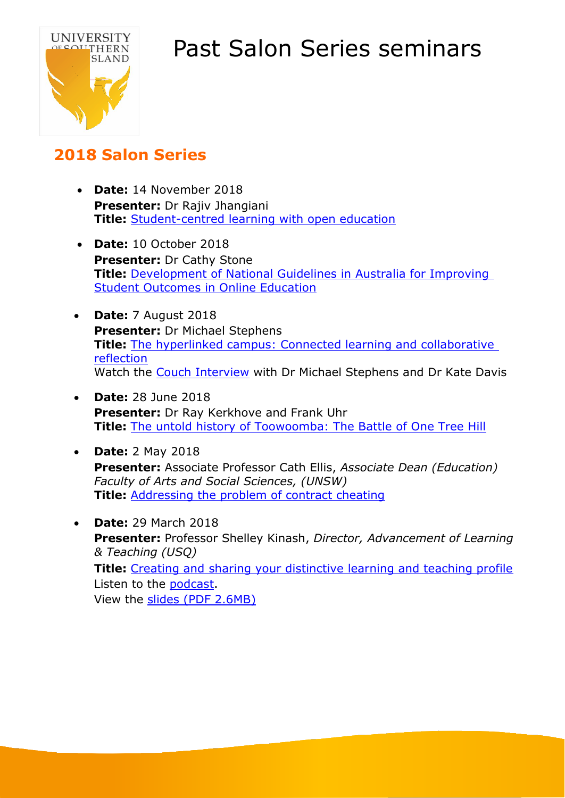



### **2018 Salon Series**

- **Date:** 14 November 2018 **Presenter:** Dr Rajiv Jhangiani **Title:** [Student-centred learning with open education](https://vimeo.com/user10756933/review/300660749/eb52d29b6c)
- **Date:** 10 October 2018 **Presenter:** Dr Cathy Stone **Title:** [Development of National Guidelines in Australia for Improving](https://vimeo.com/user10756933/review/294280407/fbdf9bff08)  [Student Outcomes in Online Education](https://vimeo.com/user10756933/review/294280407/fbdf9bff08)
- **Date:** 7 August 2018 **Presenter:** Dr Michael Stephens **Title:** [The hyperlinked campus: Connected learning and collaborative](https://vimeo.com/user10756933/review/283608600/c66ce4702c)  [reflection](https://vimeo.com/user10756933/review/283608600/c66ce4702c) Watch the [Couch Interview](https://vimeo.com/user10756933/review/283605004/9cea30ec90) with Dr Michael Stephens and Dr Kate Davis
- **Date:** 28 June 2018 **Presenter:** Dr Ray Kerkhove and Frank Uhr **Title:** [The untold history of Toowoomba: The Battle of One Tree Hill](https://vimeo.com/user10756933/review/278245762/b508b59b91)
- **Date:** 2 May 2018 **Presenter:** Associate Professor Cath Ellis, *Associate Dean (Education) Faculty of Arts and Social Sciences, (UNSW)* **Title:** [Addressing the problem of contract cheating](https://youtu.be/NNSYeOyzv4A)
- **Date:** 29 March 2018 **Presenter:** Professor Shelley Kinash, *Director, Advancement of Learning & Teaching (USQ)* **Title:** Creating and [sharing](https://www.youtube.com/watch?v=Q8HssffSAic) your distinctive learning and teaching profile Listen to the [podcast.](https://shelleykinash.podbean.com/e/accelerating-your-academic-career/) View the [slides \(PDF 2.6MB\)](https://www.usq.edu.au/-/media/usq/library/libraries/usq-salon/salon2018-learningteachingprofile.ashx?la=en&hash=1A517BB83E87EB399F91E94BF034D40C)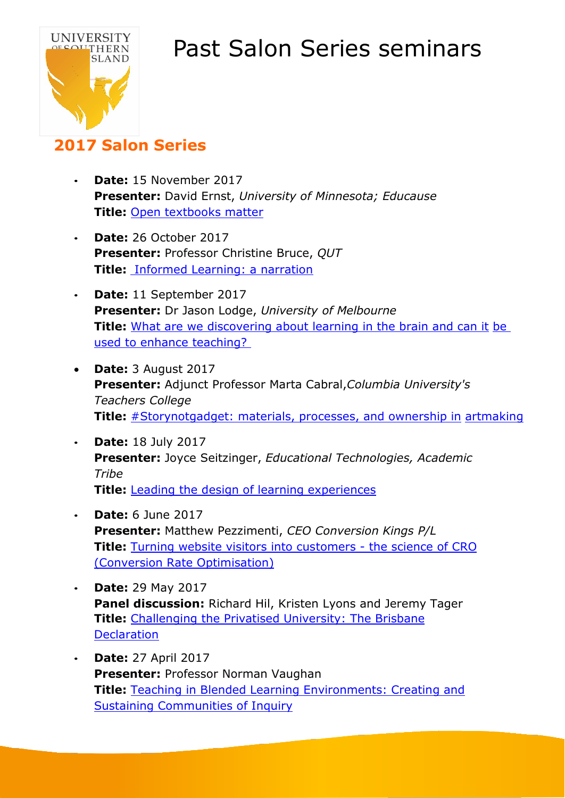

### **2017 Salon Series**

- **Date:** 15 November 2017 **Presenter:** David Ernst, *University of Minnesota; Educause* **Title:** Open [textbooks](https://www.youtube.com/watch?v=pFOeIh3yo7k&list=PLtw48XbzNMfJM5bMbyQ38YNjQryZ0FWBb&index=1) matter
- **Date:** 26 October 2017 **Presenter:** Professor Christine Bruce, *QUT* **Title:** [I](https://www.usq.edu.au/learning-teaching/USQSalon/2017/lodge)nformed [Learning:](https://www.usq.edu.au/learning-teaching/USQSalon/2017/lodge) a narration
- **Date:** 11 September 2017 **Presenter:** Dr Jason Lodge, *University of Melbourne* **Title:** What are we [discovering](https://www.youtube.com/watch?v=jC4pcaqosB0&list=PLtw48XbzNMfJM5bMbyQ38YNjQryZ0FWBb&index=4) about learning in the brain and can it [be](https://www.youtube.com/watch?v=jC4pcaqosB0&list=PLtw48XbzNMfJM5bMbyQ38YNjQryZ0FWBb&index=4) used [to enhance](https://www.youtube.com/watch?v=jC4pcaqosB0&list=PLtw48XbzNMfJM5bMbyQ38YNjQryZ0FWBb&index=4) teaching?
- **Date:** 3 August 2017 **Presenter:** Adjunct Professor Marta Cabral,*Columbia University's Teachers College* **Title:** [#Storynotgadget:](https://www.youtube.com/watch?v=U4LVexX7Wj4&list=PLtw48XbzNMfJM5bMbyQ38YNjQryZ0FWBb&index=5) materials, processes, and ownership in [artmaking](https://www.youtube.com/watch?v=U4LVexX7Wj4&list=PLtw48XbzNMfJM5bMbyQ38YNjQryZ0FWBb&index=5)
- **Date:** 18 July 2017 **Presenter:** Joyce Seitzinger, *Educational Technologies, Academic Tribe* **Title:** Leading the design of learning [experiences](https://www.youtube.com/watch?v=JotXNcTgARg&index=6&list=PLtw48XbzNMfJM5bMbyQ38YNjQryZ0FWBb)
- **Date:** 6 June 2017 **Presenter:** Matthew Pezzimenti, *CEO Conversion Kings P/L* **Title:** Turning [website visitors](https://www.youtube.com/watch?v=D13Z7gG2hZc&list=PLtw48XbzNMfJM5bMbyQ38YNjQryZ0FWBb&index=7) into customers - the science of CRO (Conversion Rate [Optimisation\)](https://www.youtube.com/watch?v=D13Z7gG2hZc&list=PLtw48XbzNMfJM5bMbyQ38YNjQryZ0FWBb&index=7)
- **Date:** 29 May 2017 **Panel discussion:** Richard Hil, Kristen Lyons and Jeremy Tager **Title:** Challenging [the Privatised](https://www.youtube.com/watch?v=vtfUfRn-Wqk&index=8&list=PLtw48XbzNMfJM5bMbyQ38YNjQryZ0FWBb) University: The Brisbane **[Declaration](https://www.youtube.com/watch?v=vtfUfRn-Wqk&index=8&list=PLtw48XbzNMfJM5bMbyQ38YNjQryZ0FWBb)**
- **Date:** 27 April 2017 **Presenter:** Professor Norman Vaughan **Title:** Teaching in Blended Learning [Environments:](https://www.youtube.com/watch?v=gT5mK78mcM0&list=PLtw48XbzNMfJM5bMbyQ38YNjQryZ0FWBb&index=10) Creating and Sustaining [Communities](https://www.youtube.com/watch?v=gT5mK78mcM0&list=PLtw48XbzNMfJM5bMbyQ38YNjQryZ0FWBb&index=10) of Inquiry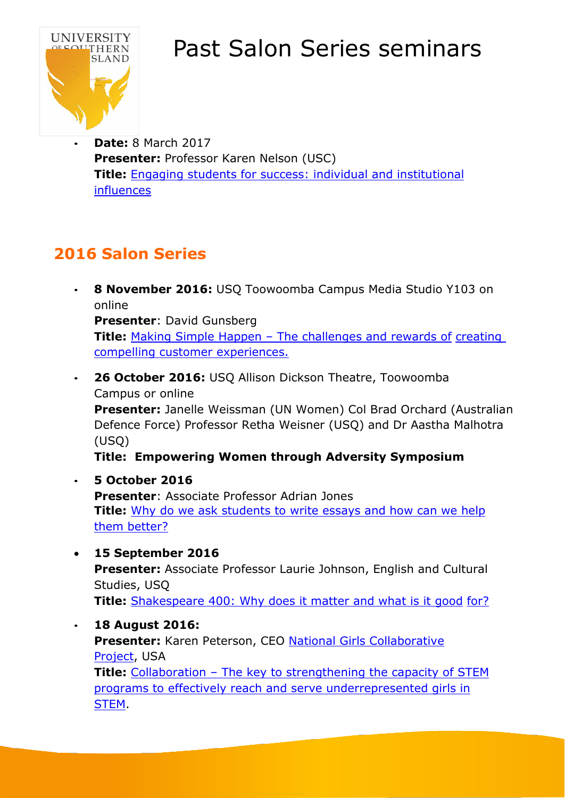

• **Date:** 8 March 2017 **Presenter:** Professor Karen Nelson (USC) **Title:** Engaging students [for success:](https://www.youtube.com/watch?v=85d05c30s94&list=PLtw48XbzNMfJM5bMbyQ38YNjQryZ0FWBb&index=13) individual and institutional [influences](https://www.youtube.com/watch?v=85d05c30s94&list=PLtw48XbzNMfJM5bMbyQ38YNjQryZ0FWBb&index=13)

### **2016 Salon Series**

• **8 November 2016:** USQ Toowoomba Campus Media Studio Y103 on online

**Presenter**: David Gunsberg

**Title:** Making [Simple Happen](https://www.youtube.com/watch?v=nDYrrlYRz2w&list=PLtw48XbzNMfJM5bMbyQ38YNjQryZ0FWBb&index=14) – The challenges and rewards of [creating](https://www.youtube.com/watch?v=nDYrrlYRz2w&list=PLtw48XbzNMfJM5bMbyQ38YNjQryZ0FWBb&index=14) compelling [customer experiences.](https://www.youtube.com/watch?v=nDYrrlYRz2w&list=PLtw48XbzNMfJM5bMbyQ38YNjQryZ0FWBb&index=14)

• **26 October 2016:** USQ Allison Dickson Theatre, Toowoomba Campus or online **Presenter:** Janelle Weissman (UN Women) Col Brad Orchard (Australian Defence Force) Professor Retha Weisner (USQ) and Dr Aastha Malhotra (USQ)

**Title: Empowering Women through Adversity Symposium**

- **5 October 2016 Presenter**: Associate Professor Adrian Jones **Title:** Why [do we ask](https://www.youtube.com/watch?v=cl68w2n9seg&index=15&list=PLtw48XbzNMfJM5bMbyQ38YNjQryZ0FWBb) students to write essays and how can we help them [better?](https://www.youtube.com/watch?v=cl68w2n9seg&index=15&list=PLtw48XbzNMfJM5bMbyQ38YNjQryZ0FWBb)
- **15 September 2016**

**Presenter:** Associate Professor Laurie Johnson, English and Cultural Studies, USQ **Title:** [Shakespeare 400:](https://www.youtube.com/watch?v=xXr8vkBn87o&index=16&list=PLtw48XbzNMfJM5bMbyQ38YNjQryZ0FWBb) Why does it matter and what is it good [for?](https://www.youtube.com/watch?v=xXr8vkBn87o&index=16&list=PLtw48XbzNMfJM5bMbyQ38YNjQryZ0FWBb)

- **18 August 2016: Presenter:** Karen Peterson, CEO National Girls [Collaborative](https://ngcproject.org/)
- [Project,](https://ngcproject.org/) USA **Title:** Collaboration – The key [to strengthening](https://www.youtube.com/watch?v=Ak9_wrTCkAM&list=PLtw48XbzNMfJM5bMbyQ38YNjQryZ0FWBb&index=17) the capacity of STEM programs to effectively reach and [serve underrepresented](https://www.youtube.com/watch?v=Ak9_wrTCkAM&list=PLtw48XbzNMfJM5bMbyQ38YNjQryZ0FWBb&index=17) girls in **STEM**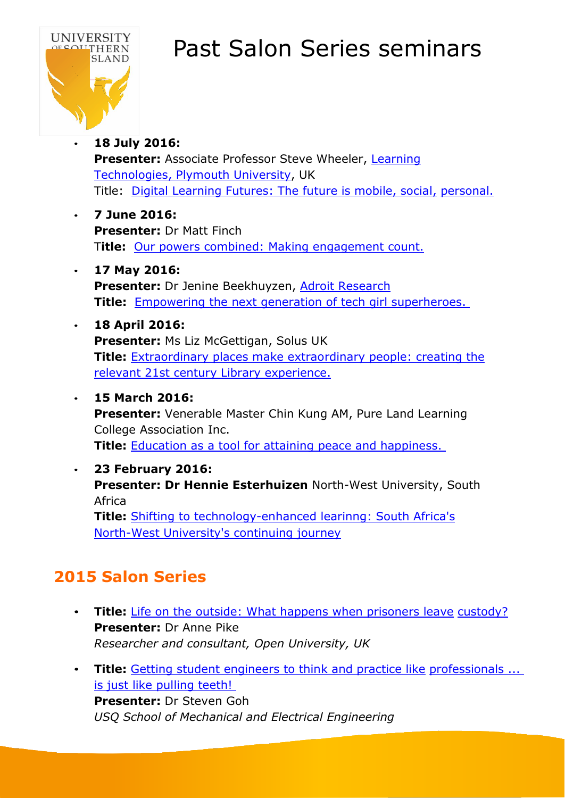

#### • **18 July 2016:**

Presenter: Associate Professor Steve Wheeler, [Learning](https://steve-wheeler.net/) [Technologies,](https://steve-wheeler.net/) Plymouth University, UK Title: Digital Learning Futures: [The future is](https://www.youtube.com/watch?v=_bq5A3puL0E&index=19&list=PLtw48XbzNMfJM5bMbyQ38YNjQryZ0FWBb) mobile, social, [personal.](https://www.youtube.com/watch?v=_bq5A3puL0E&index=19&list=PLtw48XbzNMfJM5bMbyQ38YNjQryZ0FWBb)

- **7 June 2016: Presenter:** Dr Matt Finch T**itle:** Our powers combined: Making [engagement count.](https://www.youtube.com/watch?v=5nZDVciqHKg&index=20&list=PLtw48XbzNMfJM5bMbyQ38YNjQryZ0FWBb)
- **17 May 2016: Presenter:** Dr Jenine Beekhuyzen, Adroit [Research](http://www.adroitresearch.com.au/who-we-are/our-team/) **Title:** Empowering the next generation of tech girl [superheroes.](https://www.youtube.com/watch?v=qvIENXsTTR8&list=PLtw48XbzNMfJM5bMbyQ38YNjQryZ0FWBb&index=23)
- **18 April 2016: Presenter:** Ms Liz McGettigan, Solus UK **Title:** Extraordinary places [make extraordinary](https://www.youtube.com/watch?v=HHJaJxDgY6c&index=24&list=PLtw48XbzNMfJM5bMbyQ38YNjQryZ0FWBb) people: creating the relevant 21st century Library [experience.](https://www.youtube.com/watch?v=HHJaJxDgY6c&index=24&list=PLtw48XbzNMfJM5bMbyQ38YNjQryZ0FWBb)

#### • **15 March 2016:**

**Presenter:** Venerable Master Chin Kung AM, Pure Land Learning College Association Inc.

**Title:** Education as a tool [for attaining](https://www.youtube.com/watch?v=i1snB_2nmtk&list=PLtw48XbzNMfJM5bMbyQ38YNjQryZ0FWBb&index=29) peace and happiness.

#### • **23 February 2016:**

**Presenter: Dr Hennie Esterhuizen** North-West University, South Africa

**Title:** Shifting to [technology-enhanced](https://www.youtube.com/watch?v=SD7o8fzq6Z8&index=26&list=PLtw48XbzNMfJM5bMbyQ38YNjQryZ0FWBb) learinng: South Africa's North-West [University's](https://www.youtube.com/watch?v=SD7o8fzq6Z8&index=26&list=PLtw48XbzNMfJM5bMbyQ38YNjQryZ0FWBb) continuing journey

### **2015 Salon Series**

- **Title:** Life on the outside: What happens when [prisoners](https://www.youtube.com/watch?v=u3cvTU1h8UY&index=35&list=PLtw48XbzNMfJM5bMbyQ38YNjQryZ0FWBb) leave [custody?](https://www.youtube.com/watch?v=u3cvTU1h8UY&index=35&list=PLtw48XbzNMfJM5bMbyQ38YNjQryZ0FWBb) **Presenter:** Dr Anne Pike *Researcher and consultant, Open University, UK*
- **Title:** Getting [student engineers](https://www.youtube.com/watch?v=be8X8-6D3rU&list=PLtw48XbzNMfJM5bMbyQ38YNjQryZ0FWBb&index=37) to think and practice like [professionals](https://www.youtube.com/watch?v=be8X8-6D3rU&list=PLtw48XbzNMfJM5bMbyQ38YNjQryZ0FWBb&index=37) ... is just [like pulling](https://www.youtube.com/watch?v=be8X8-6D3rU&list=PLtw48XbzNMfJM5bMbyQ38YNjQryZ0FWBb&index=37) teeth! **Presenter:** Dr Steven Goh *USQ School of Mechanical and Electrical Engineering*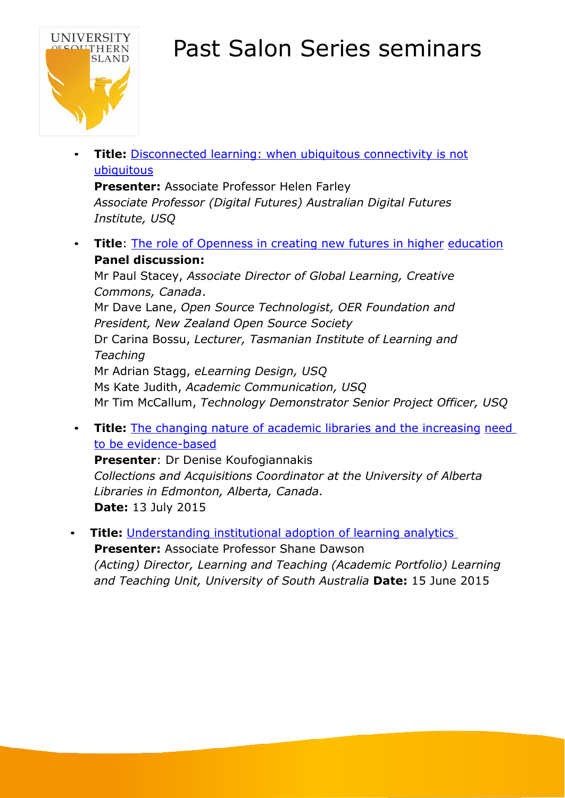

**Title:** [Disconnected](https://www.youtube.com/watch?v=dQ1YCarF1Zk&list=PLtw48XbzNMfJM5bMbyQ38YNjQryZ0FWBb&index=40) learning: when ubiquitous connectivity is not [ubiquitous](https://www.youtube.com/watch?v=dQ1YCarF1Zk&list=PLtw48XbzNMfJM5bMbyQ38YNjQryZ0FWBb&index=40)

**Presenter:** Associate Professor Helen Farley *Associate Professor (Digital Futures) Australian Digital Futures Institute, USQ*

**Title**: The role of Openness in creating [new futures](https://www.youtube.com/watch?v=2FJ9VWN6O6w&list=PLtw48XbzNMfJM5bMbyQ38YNjQryZ0FWBb&index=36) in higher [education](https://www.youtube.com/watch?v=2FJ9VWN6O6w&list=PLtw48XbzNMfJM5bMbyQ38YNjQryZ0FWBb&index=36) **Panel discussion:**

Mr Paul Stacey, *Associate Director of Global Learning, Creative Commons, Canada*. Mr Dave Lane, *Open Source Technologist, OER Foundation and President, New Zealand Open Source Society* Dr Carina Bossu, *Lecturer, Tasmanian Institute of Learning and Teaching* Mr Adrian Stagg, *eLearning Design, USQ* Ms Kate Judith, *Academic Communication, USQ* Mr Tim McCallum, *Technology Demonstrator Senior Project Officer, USQ*

**Title:** The changing nature of academic libraries and the [increasing](https://www.youtube.com/watch?v=Xl4-JabWL3I&list=PLtw48XbzNMfJM5bMbyQ38YNjQryZ0FWBb&index=38) [need](https://www.youtube.com/watch?v=Xl4-JabWL3I&list=PLtw48XbzNMfJM5bMbyQ38YNjQryZ0FWBb&index=38) to be [evidence-based](https://www.youtube.com/watch?v=Xl4-JabWL3I&list=PLtw48XbzNMfJM5bMbyQ38YNjQryZ0FWBb&index=38)

**Presenter**: Dr Denise Koufogiannakis *Collections and Acquisitions Coordinator at the University of Alberta Libraries in Edmonton, Alberta, Canada.* **Date:** 13 July 2015

**Title:** [Understanding](https://www.youtube.com/watch?v=YpjLKunwkgI&list=PLtw48XbzNMfJM5bMbyQ38YNjQryZ0FWBb&index=39) institutional adoption of learning analytics **Presenter:** Associate Professor Shane Dawson *(Acting) Director, Learning and Teaching (Academic Portfolio) Learning and Teaching Unit, University of South Australia* **Date:** 15 June 2015